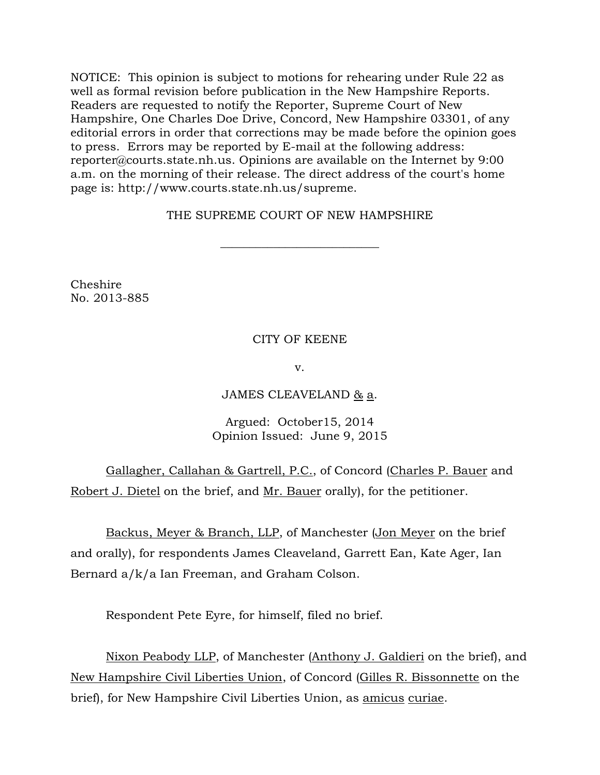NOTICE: This opinion is subject to motions for rehearing under Rule 22 as well as formal revision before publication in the New Hampshire Reports. Readers are requested to notify the Reporter, Supreme Court of New Hampshire, One Charles Doe Drive, Concord, New Hampshire 03301, of any editorial errors in order that corrections may be made before the opinion goes to press. Errors may be reported by E-mail at the following address: [reporter@courts.state.nh.us.](mailto:reporter@courts.state.nh.us) Opinions are available on the Internet by 9:00 a.m. on the morning of their release. The direct address of the court's home page is: http://www.courts.state.nh.us/supreme.

# THE SUPREME COURT OF NEW HAMPSHIRE

 $\overline{\phantom{a}}$  , where  $\overline{\phantom{a}}$  , where  $\overline{\phantom{a}}$  , where  $\overline{\phantom{a}}$  ,  $\overline{\phantom{a}}$  ,  $\overline{\phantom{a}}$  ,  $\overline{\phantom{a}}$  ,  $\overline{\phantom{a}}$  ,  $\overline{\phantom{a}}$  ,  $\overline{\phantom{a}}$  ,  $\overline{\phantom{a}}$  ,  $\overline{\phantom{a}}$  ,  $\overline{\phantom{a}}$  ,  $\overline{\phantom{a}}$  ,  $\overline{\phantom$ 

Cheshire No. 2013-885

## CITY OF KEENE

v.

## JAMES CLEAVELAND & a.

## Argued: October15, 2014 Opinion Issued: June 9, 2015

Gallagher, Callahan & Gartrell, P.C., of Concord (Charles P. Bauer and Robert J. Dietel on the brief, and Mr. Bauer orally), for the petitioner.

Backus, Meyer & Branch, LLP, of Manchester (Jon Meyer on the brief and orally), for respondents James Cleaveland, Garrett Ean, Kate Ager, Ian Bernard a/k/a Ian Freeman, and Graham Colson.

Respondent Pete Eyre, for himself, filed no brief.

Nixon Peabody LLP, of Manchester (Anthony J. Galdieri on the brief), and New Hampshire Civil Liberties Union, of Concord (Gilles R. Bissonnette on the brief), for New Hampshire Civil Liberties Union, as amicus curiae.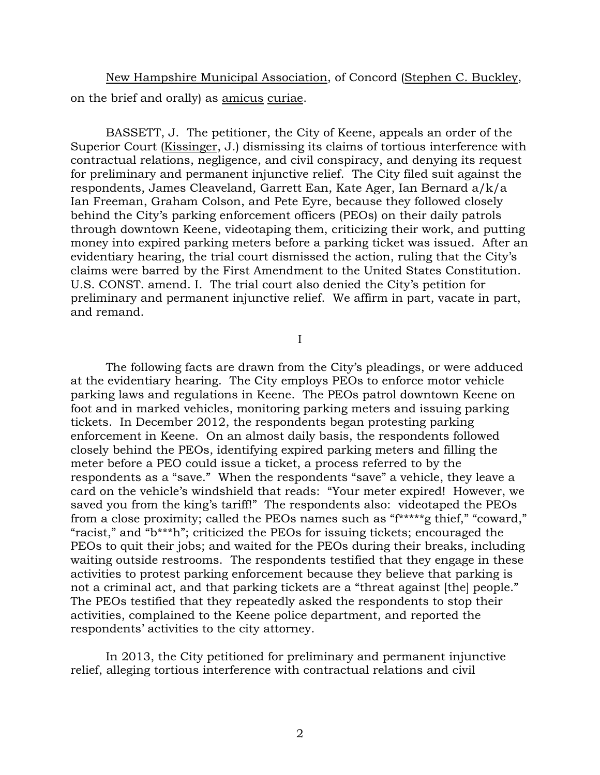New Hampshire Municipal Association, of Concord (Stephen C. Buckley, on the brief and orally) as amicus curiae.

BASSETT, J. The petitioner, the City of Keene, appeals an order of the Superior Court (Kissinger, J.) dismissing its claims of tortious interference with contractual relations, negligence, and civil conspiracy, and denying its request for preliminary and permanent injunctive relief. The City filed suit against the respondents, James Cleaveland, Garrett Ean, Kate Ager, Ian Bernard a/k/a Ian Freeman, Graham Colson, and Pete Eyre, because they followed closely behind the City's parking enforcement officers (PEOs) on their daily patrols through downtown Keene, videotaping them, criticizing their work, and putting money into expired parking meters before a parking ticket was issued. After an evidentiary hearing, the trial court dismissed the action, ruling that the City's claims were barred by the First Amendment to the United States Constitution. U.S. CONST. amend. I. The trial court also denied the City's petition for preliminary and permanent injunctive relief. We affirm in part, vacate in part, and remand.

I

The following facts are drawn from the City's pleadings, or were adduced at the evidentiary hearing. The City employs PEOs to enforce motor vehicle parking laws and regulations in Keene. The PEOs patrol downtown Keene on foot and in marked vehicles, monitoring parking meters and issuing parking tickets. In December 2012, the respondents began protesting parking enforcement in Keene. On an almost daily basis, the respondents followed closely behind the PEOs, identifying expired parking meters and filling the meter before a PEO could issue a ticket, a process referred to by the respondents as a "save." When the respondents "save" a vehicle, they leave a card on the vehicle's windshield that reads: "Your meter expired! However, we saved you from the king's tariff!" The respondents also: videotaped the PEOs from a close proximity; called the PEOs names such as "f\*\*\*\*\*g thief," "coward," "racist," and "b\*\*\*h"; criticized the PEOs for issuing tickets; encouraged the PEOs to quit their jobs; and waited for the PEOs during their breaks, including waiting outside restrooms. The respondents testified that they engage in these activities to protest parking enforcement because they believe that parking is not a criminal act, and that parking tickets are a "threat against [the] people." The PEOs testified that they repeatedly asked the respondents to stop their activities, complained to the Keene police department, and reported the respondents' activities to the city attorney.

In 2013, the City petitioned for preliminary and permanent injunctive relief, alleging tortious interference with contractual relations and civil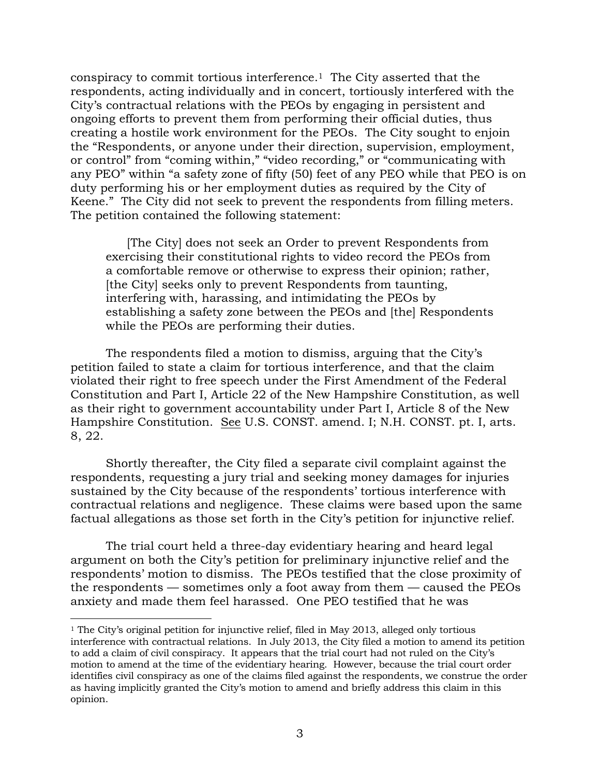conspiracy to commit tortious interference.1 The City asserted that the respondents, acting individually and in concert, tortiously interfered with the City's contractual relations with the PEOs by engaging in persistent and ongoing efforts to prevent them from performing their official duties, thus creating a hostile work environment for the PEOs. The City sought to enjoin the "Respondents, or anyone under their direction, supervision, employment, or control" from "coming within," "video recording," or "communicating with any PEO" within "a safety zone of fifty (50) feet of any PEO while that PEO is on duty performing his or her employment duties as required by the City of Keene." The City did not seek to prevent the respondents from filling meters. The petition contained the following statement:

[The City] does not seek an Order to prevent Respondents from exercising their constitutional rights to video record the PEOs from a comfortable remove or otherwise to express their opinion; rather, [the City] seeks only to prevent Respondents from taunting, interfering with, harassing, and intimidating the PEOs by establishing a safety zone between the PEOs and [the] Respondents while the PEOs are performing their duties.

The respondents filed a motion to dismiss, arguing that the City's petition failed to state a claim for tortious interference, and that the claim violated their right to free speech under the First Amendment of the Federal Constitution and Part I, Article 22 of the New Hampshire Constitution, as well as their right to government accountability under Part I, Article 8 of the New Hampshire Constitution. See U.S. CONST. amend. I; N.H. CONST. pt. I, arts. 8, 22.

Shortly thereafter, the City filed a separate civil complaint against the respondents, requesting a jury trial and seeking money damages for injuries sustained by the City because of the respondents' tortious interference with contractual relations and negligence. These claims were based upon the same factual allegations as those set forth in the City's petition for injunctive relief.

The trial court held a three-day evidentiary hearing and heard legal argument on both the City's petition for preliminary injunctive relief and the respondents' motion to dismiss. The PEOs testified that the close proximity of the respondents — sometimes only a foot away from them — caused the PEOs anxiety and made them feel harassed. One PEO testified that he was

 $\overline{a}$ 

<sup>&</sup>lt;sup>1</sup> The City's original petition for injunctive relief, filed in May 2013, alleged only tortious interference with contractual relations. In July 2013, the City filed a motion to amend its petition to add a claim of civil conspiracy. It appears that the trial court had not ruled on the City's motion to amend at the time of the evidentiary hearing. However, because the trial court order identifies civil conspiracy as one of the claims filed against the respondents, we construe the order as having implicitly granted the City's motion to amend and briefly address this claim in this opinion.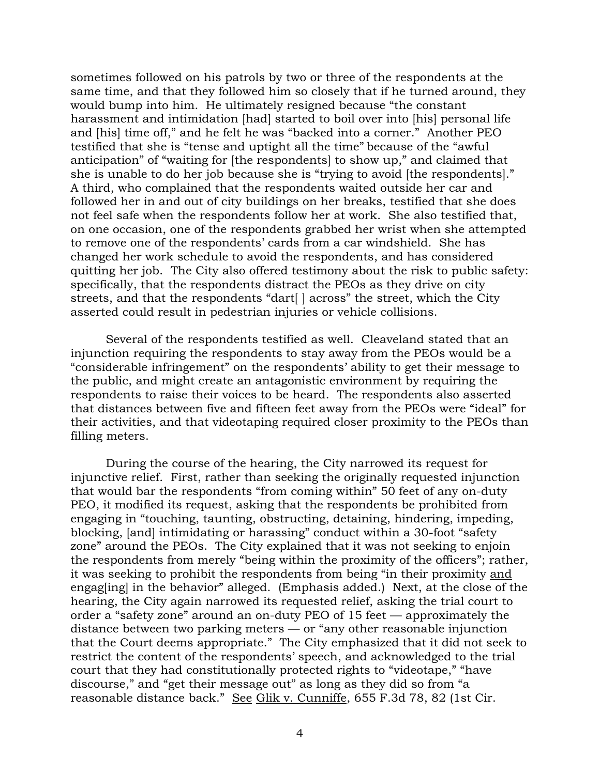sometimes followed on his patrols by two or three of the respondents at the same time, and that they followed him so closely that if he turned around, they would bump into him. He ultimately resigned because "the constant harassment and intimidation [had] started to boil over into [his] personal life and [his] time off," and he felt he was "backed into a corner." Another PEO testified that she is "tense and uptight all the time" because of the "awful anticipation" of "waiting for [the respondents] to show up," and claimed that she is unable to do her job because she is "trying to avoid [the respondents]." A third, who complained that the respondents waited outside her car and followed her in and out of city buildings on her breaks, testified that she does not feel safe when the respondents follow her at work. She also testified that, on one occasion, one of the respondents grabbed her wrist when she attempted to remove one of the respondents' cards from a car windshield. She has changed her work schedule to avoid the respondents, and has considered quitting her job. The City also offered testimony about the risk to public safety: specifically, that the respondents distract the PEOs as they drive on city streets, and that the respondents "dart[ ] across" the street, which the City asserted could result in pedestrian injuries or vehicle collisions.

Several of the respondents testified as well. Cleaveland stated that an injunction requiring the respondents to stay away from the PEOs would be a "considerable infringement" on the respondents' ability to get their message to the public, and might create an antagonistic environment by requiring the respondents to raise their voices to be heard. The respondents also asserted that distances between five and fifteen feet away from the PEOs were "ideal" for their activities, and that videotaping required closer proximity to the PEOs than filling meters.

During the course of the hearing, the City narrowed its request for injunctive relief. First, rather than seeking the originally requested injunction that would bar the respondents "from coming within" 50 feet of any on-duty PEO, it modified its request, asking that the respondents be prohibited from engaging in "touching, taunting, obstructing, detaining, hindering, impeding, blocking, [and] intimidating or harassing" conduct within a 30-foot "safety zone" around the PEOs. The City explained that it was not seeking to enjoin the respondents from merely "being within the proximity of the officers"; rather, it was seeking to prohibit the respondents from being "in their proximity and engag[ing] in the behavior" alleged. (Emphasis added.) Next, at the close of the hearing, the City again narrowed its requested relief, asking the trial court to order a "safety zone" around an on-duty PEO of 15 feet — approximately the distance between two parking meters — or "any other reasonable injunction that the Court deems appropriate." The City emphasized that it did not seek to restrict the content of the respondents' speech, and acknowledged to the trial court that they had constitutionally protected rights to "videotape," "have discourse," and "get their message out" as long as they did so from "a reasonable distance back." See Glik v. Cunniffe, 655 F.3d 78, 82 (1st Cir.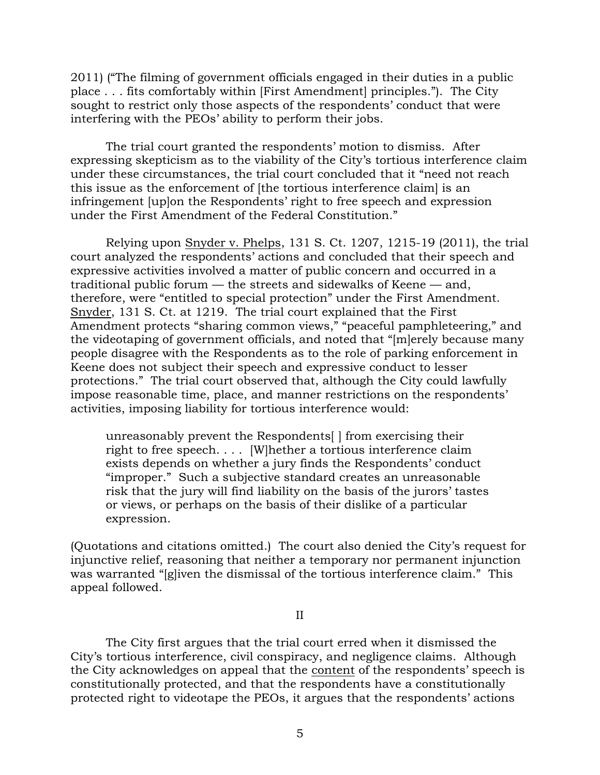2011) ("The filming of government officials engaged in their duties in a public place . . . fits comfortably within [First Amendment] principles."). The City sought to restrict only those aspects of the respondents' conduct that were interfering with the PEOs' ability to perform their jobs.

The trial court granted the respondents' motion to dismiss. After expressing skepticism as to the viability of the City's tortious interference claim under these circumstances, the trial court concluded that it "need not reach this issue as the enforcement of [the tortious interference claim] is an infringement [up]on the Respondents' right to free speech and expression under the First Amendment of the Federal Constitution."

Relying upon Snyder v. Phelps, 131 S. Ct. 1207, 1215-19 (2011), the trial court analyzed the respondents' actions and concluded that their speech and expressive activities involved a matter of public concern and occurred in a traditional public forum — the streets and sidewalks of Keene — and, therefore, were "entitled to special protection" under the First Amendment. Snyder, 131 S. Ct. at 1219. The trial court explained that the First Amendment protects "sharing common views," "peaceful pamphleteering," and the videotaping of government officials, and noted that "[m]erely because many people disagree with the Respondents as to the role of parking enforcement in Keene does not subject their speech and expressive conduct to lesser protections." The trial court observed that, although the City could lawfully impose reasonable time, place, and manner restrictions on the respondents' activities, imposing liability for tortious interference would:

unreasonably prevent the Respondents[ ] from exercising their right to free speech. . . . [W]hether a tortious interference claim exists depends on whether a jury finds the Respondents' conduct "improper." Such a subjective standard creates an unreasonable risk that the jury will find liability on the basis of the jurors' tastes or views, or perhaps on the basis of their dislike of a particular expression.

(Quotations and citations omitted.) The court also denied the City's request for injunctive relief, reasoning that neither a temporary nor permanent injunction was warranted "[g]iven the dismissal of the tortious interference claim." This appeal followed.

II

The City first argues that the trial court erred when it dismissed the City's tortious interference, civil conspiracy, and negligence claims. Although the City acknowledges on appeal that the content of the respondents' speech is constitutionally protected, and that the respondents have a constitutionally protected right to videotape the PEOs, it argues that the respondents' actions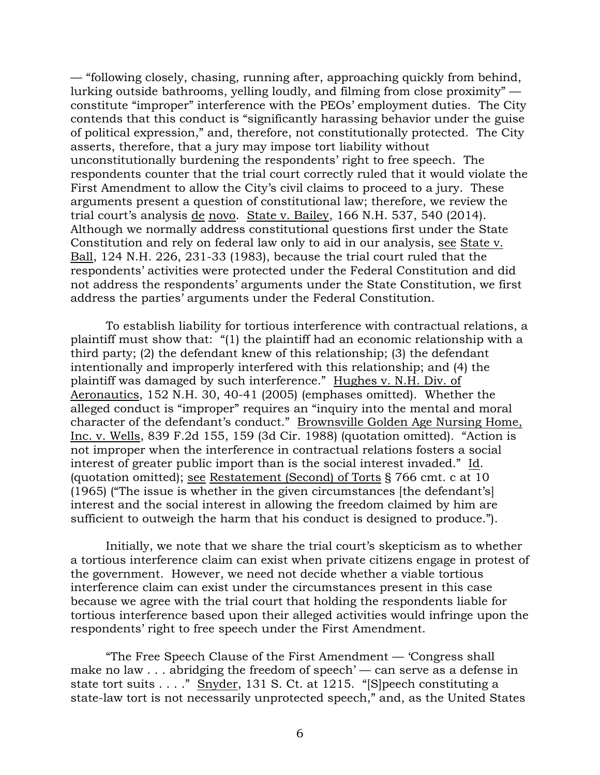— "following closely, chasing, running after, approaching quickly from behind, lurking outside bathrooms, yelling loudly, and filming from close proximity" constitute "improper" interference with the PEOs' employment duties. The City contends that this conduct is "significantly harassing behavior under the guise of political expression," and, therefore, not constitutionally protected. The City asserts, therefore, that a jury may impose tort liability without unconstitutionally burdening the respondents' right to free speech. The respondents counter that the trial court correctly ruled that it would violate the First Amendment to allow the City's civil claims to proceed to a jury. These arguments present a question of constitutional law; therefore, we review the trial court's analysis de novo. State v. Bailey, 166 N.H. 537, 540 (2014). Although we normally address constitutional questions first under the State Constitution and rely on federal law only to aid in our analysis, see State v. Ball, 124 N.H. 226, 231-33 (1983), because the trial court ruled that the respondents' activities were protected under the Federal Constitution and did not address the respondents' arguments under the State Constitution, we first address the parties' arguments under the Federal Constitution.

To establish liability for tortious interference with contractual relations, a plaintiff must show that: "(1) the plaintiff had an economic relationship with a third party; (2) the defendant knew of this relationship; (3) the defendant intentionally and improperly interfered with this relationship; and (4) the plaintiff was damaged by such interference." Hughes v. N.H. Div. of Aeronautics, 152 N.H. 30, 40-41 (2005) (emphases omitted). Whether the alleged conduct is "improper" requires an "inquiry into the mental and moral character of the defendant's conduct." Brownsville Golden Age Nursing Home, Inc. v. Wells, 839 F.2d 155, 159 (3d Cir. 1988) (quotation omitted). "Action is not improper when the interference in contractual relations fosters a social interest of greater public import than is the social interest invaded." Id. (quotation omitted); see Restatement (Second) of Torts § 766 cmt. c at 10  $(1965)$  ("The issue is whether in the given circumstances [the defendant's] interest and the social interest in allowing the freedom claimed by him are sufficient to outweigh the harm that his conduct is designed to produce.").

Initially, we note that we share the trial court's skepticism as to whether a tortious interference claim can exist when private citizens engage in protest of the government. However, we need not decide whether a viable tortious interference claim can exist under the circumstances present in this case because we agree with the trial court that holding the respondents liable for tortious interference based upon their alleged activities would infringe upon the respondents' right to free speech under the First Amendment.

"The Free Speech Clause of the First Amendment — 'Congress shall make no law . . . abridging the freedom of speech' — can serve as a defense in state tort suits . . . . " Snyder, 131 S. Ct. at 1215. "[S]peech constituting a state-law tort is not necessarily unprotected speech," and, as the United States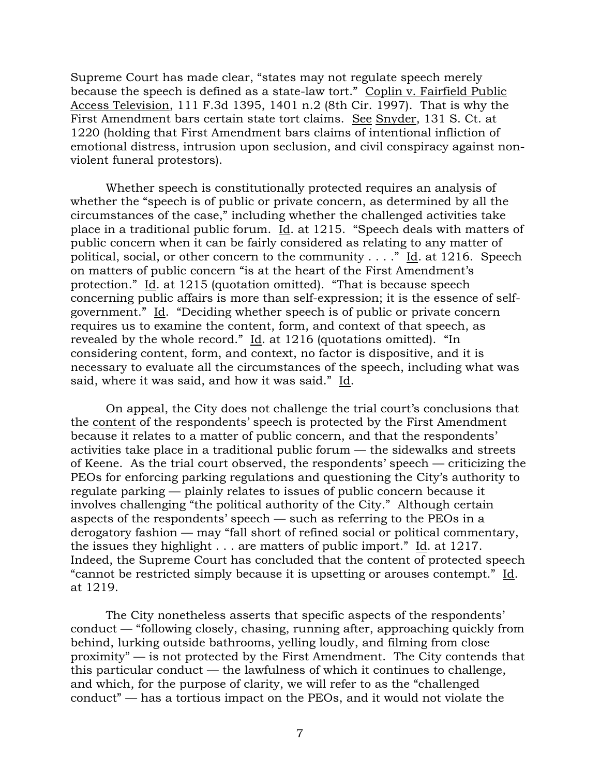Supreme Court has made clear, "states may not regulate speech merely because the speech is defined as a state-law tort." Coplin v. Fairfield Public Access Television, 111 F.3d 1395, 1401 n.2 (8th Cir. 1997). That is why the First Amendment bars certain state tort claims. See Snyder, 131 S. Ct. at 1220 (holding that First Amendment bars claims of intentional infliction of emotional distress, intrusion upon seclusion, and civil conspiracy against nonviolent funeral protestors).

Whether speech is constitutionally protected requires an analysis of whether the "speech is of public or private concern, as determined by all the circumstances of the case," including whether the challenged activities take place in a traditional public forum. Id. at 1215. "Speech deals with matters of public concern when it can be fairly considered as relating to any matter of political, social, or other concern to the community  $\dots$ ." Id. at 1216. Speech on matters of public concern "is at the heart of the First Amendment's protection." Id. at 1215 (quotation omitted). "That is because speech concerning public affairs is more than self-expression; it is the essence of selfgovernment." Id. "Deciding whether speech is of public or private concern requires us to examine the content, form, and context of that speech, as revealed by the whole record." Id. at 1216 (quotations omitted). "In considering content, form, and context, no factor is dispositive, and it is necessary to evaluate all the circumstances of the speech, including what was said, where it was said, and how it was said." Id.

On appeal, the City does not challenge the trial court's conclusions that the content of the respondents' speech is protected by the First Amendment because it relates to a matter of public concern, and that the respondents' activities take place in a traditional public forum — the sidewalks and streets of Keene. As the trial court observed, the respondents' speech — criticizing the PEOs for enforcing parking regulations and questioning the City's authority to regulate parking — plainly relates to issues of public concern because it involves challenging "the political authority of the City." Although certain aspects of the respondents' speech — such as referring to the PEOs in a derogatory fashion — may "fall short of refined social or political commentary, the issues they highlight . . . are matters of public import." Id. at 1217. Indeed, the Supreme Court has concluded that the content of protected speech "cannot be restricted simply because it is upsetting or arouses contempt." Id. at 1219.

The City nonetheless asserts that specific aspects of the respondents' conduct — "following closely, chasing, running after, approaching quickly from behind, lurking outside bathrooms, yelling loudly, and filming from close proximity" — is not protected by the First Amendment. The City contends that this particular conduct — the lawfulness of which it continues to challenge, and which, for the purpose of clarity, we will refer to as the "challenged conduct" — has a tortious impact on the PEOs, and it would not violate the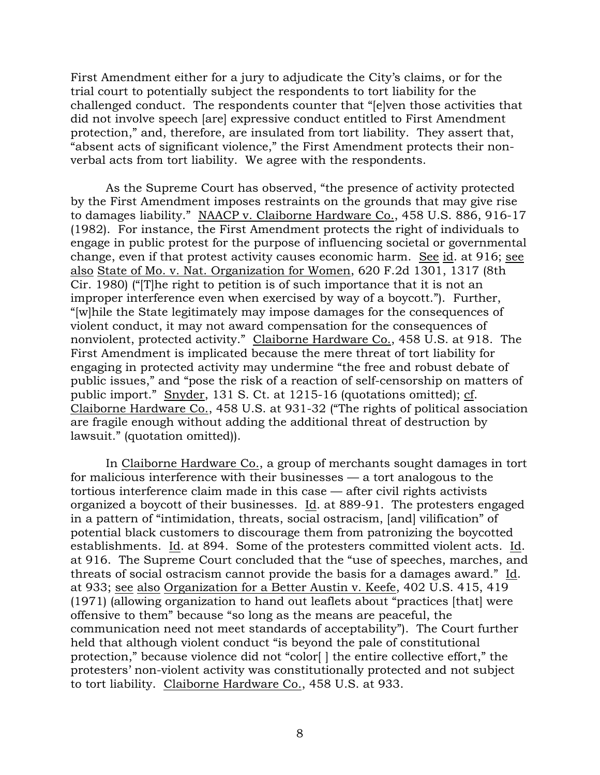First Amendment either for a jury to adjudicate the City's claims, or for the trial court to potentially subject the respondents to tort liability for the challenged conduct. The respondents counter that "[e]ven those activities that did not involve speech [are] expressive conduct entitled to First Amendment protection," and, therefore, are insulated from tort liability. They assert that, "absent acts of significant violence," the First Amendment protects their nonverbal acts from tort liability. We agree with the respondents.

As the Supreme Court has observed, "the presence of activity protected by the First Amendment imposes restraints on the grounds that may give rise to damages liability." NAACP v. Claiborne Hardware Co., 458 U.S. 886, 916-17 (1982). For instance, the First Amendment protects the right of individuals to engage in public protest for the purpose of influencing societal or governmental change, even if that protest activity causes economic harm. See id. at 916; see also State of Mo. v. Nat. Organization for Women, 620 F.2d 1301, 1317 (8th Cir. 1980) ("[T]he right to petition is of such importance that it is not an improper interference even when exercised by way of a boycott."). Further, "[w]hile the State legitimately may impose damages for the consequences of violent conduct, it may not award compensation for the consequences of nonviolent, protected activity." Claiborne Hardware Co., 458 U.S. at 918. The First Amendment is implicated because the mere threat of tort liability for engaging in protected activity may undermine "the free and robust debate of public issues," and "pose the risk of a reaction of self-censorship on matters of public import." Snyder, 131 S. Ct. at 1215-16 (quotations omitted); cf. Claiborne Hardware Co., 458 U.S. at 931-32 ("The rights of political association are fragile enough without adding the additional threat of destruction by lawsuit." (quotation omitted)).

In Claiborne Hardware Co., a group of merchants sought damages in tort for malicious interference with their businesses — a tort analogous to the tortious interference claim made in this case — after civil rights activists organized a boycott of their businesses. Id. at 889-91. The protesters engaged in a pattern of "intimidation, threats, social ostracism, [and] vilification" of potential black customers to discourage them from patronizing the boycotted establishments. Id. at 894. Some of the protesters committed violent acts. Id. at 916. The Supreme Court concluded that the "use of speeches, marches, and threats of social ostracism cannot provide the basis for a damages award." Id. at 933; see also Organization for a Better Austin v. Keefe, 402 U.S. 415, 419 (1971) (allowing organization to hand out leaflets about "practices [that] were offensive to them" because "so long as the means are peaceful, the communication need not meet standards of acceptability"). The Court further held that although violent conduct "is beyond the pale of constitutional protection," because violence did not "color[ ] the entire collective effort," the protesters' non-violent activity was constitutionally protected and not subject to tort liability. Claiborne Hardware Co., 458 U.S. at 933.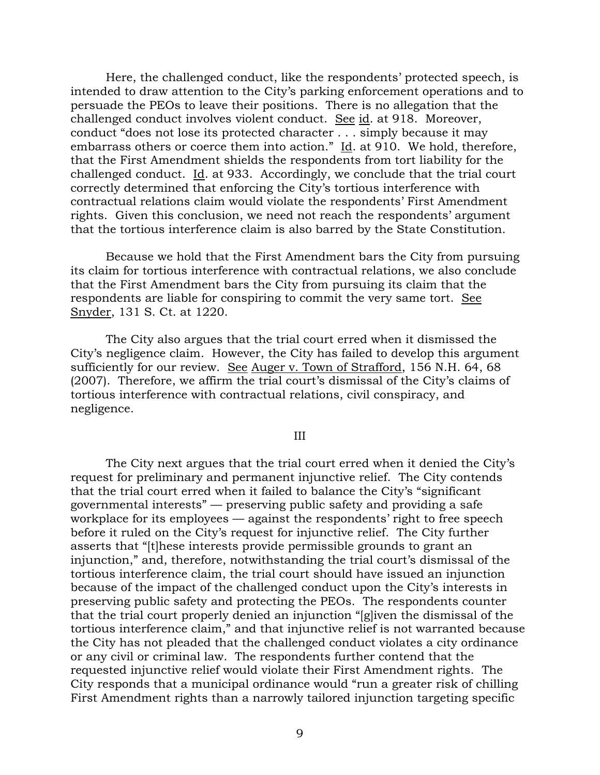Here, the challenged conduct, like the respondents' protected speech, is intended to draw attention to the City's parking enforcement operations and to persuade the PEOs to leave their positions. There is no allegation that the challenged conduct involves violent conduct. See id. at 918. Moreover, conduct "does not lose its protected character . . . simply because it may embarrass others or coerce them into action." Id. at 910. We hold, therefore, that the First Amendment shields the respondents from tort liability for the challenged conduct. Id. at 933. Accordingly, we conclude that the trial court correctly determined that enforcing the City's tortious interference with contractual relations claim would violate the respondents' First Amendment rights. Given this conclusion, we need not reach the respondents' argument that the tortious interference claim is also barred by the State Constitution.

Because we hold that the First Amendment bars the City from pursuing its claim for tortious interference with contractual relations, we also conclude that the First Amendment bars the City from pursuing its claim that the respondents are liable for conspiring to commit the very same tort. See Snyder, 131 S. Ct. at 1220.

The City also argues that the trial court erred when it dismissed the City's negligence claim. However, the City has failed to develop this argument sufficiently for our review. See Auger v. Town of Strafford, 156 N.H. 64, 68 (2007). Therefore, we affirm the trial court's dismissal of the City's claims of tortious interference with contractual relations, civil conspiracy, and negligence.

### III

The City next argues that the trial court erred when it denied the City's request for preliminary and permanent injunctive relief. The City contends that the trial court erred when it failed to balance the City's "significant governmental interests" — preserving public safety and providing a safe workplace for its employees — against the respondents' right to free speech before it ruled on the City's request for injunctive relief. The City further asserts that "[t]hese interests provide permissible grounds to grant an injunction," and, therefore, notwithstanding the trial court's dismissal of the tortious interference claim, the trial court should have issued an injunction because of the impact of the challenged conduct upon the City's interests in preserving public safety and protecting the PEOs. The respondents counter that the trial court properly denied an injunction "[g]iven the dismissal of the tortious interference claim," and that injunctive relief is not warranted because the City has not pleaded that the challenged conduct violates a city ordinance or any civil or criminal law. The respondents further contend that the requested injunctive relief would violate their First Amendment rights. The City responds that a municipal ordinance would "run a greater risk of chilling First Amendment rights than a narrowly tailored injunction targeting specific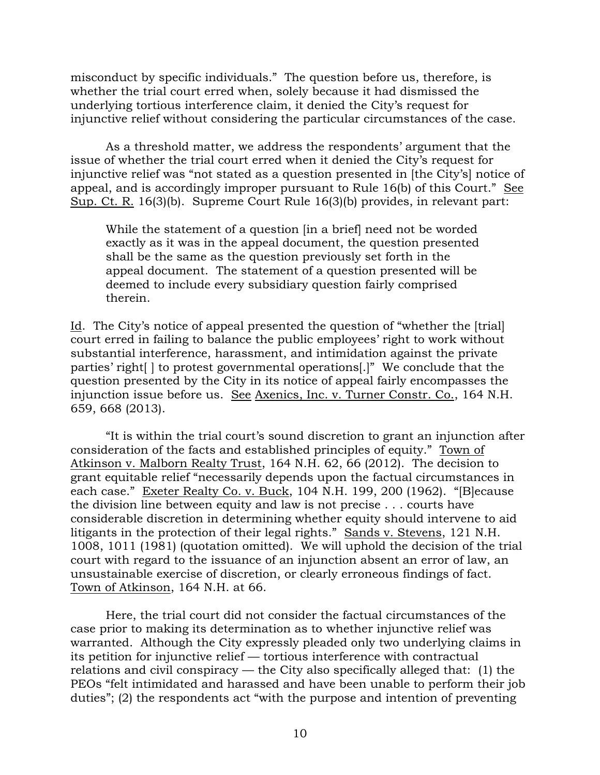misconduct by specific individuals." The question before us, therefore, is whether the trial court erred when, solely because it had dismissed the underlying tortious interference claim, it denied the City's request for injunctive relief without considering the particular circumstances of the case.

As a threshold matter, we address the respondents' argument that the issue of whether the trial court erred when it denied the City's request for injunctive relief was "not stated as a question presented in [the City's] notice of appeal, and is accordingly improper pursuant to Rule 16(b) of this Court." See Sup. Ct. R. 16(3)(b). Supreme Court Rule 16(3)(b) provides, in relevant part:

While the statement of a question [in a brief] need not be worded exactly as it was in the appeal document, the question presented shall be the same as the question previously set forth in the appeal document. The statement of a question presented will be deemed to include every subsidiary question fairly comprised therein.

Id. The City's notice of appeal presented the question of "whether the [trial] court erred in failing to balance the public employees' right to work without substantial interference, harassment, and intimidation against the private parties' right[ ] to protest governmental operations[.]" We conclude that the question presented by the City in its notice of appeal fairly encompasses the injunction issue before us. See Axenics, Inc. v. Turner Constr. Co., 164 N.H. 659, 668 (2013).

"It is within the trial court's sound discretion to grant an injunction after consideration of the facts and established principles of equity." Town of Atkinson v. Malborn Realty Trust, 164 N.H. 62, 66 (2012). The decision to grant equitable relief "necessarily depends upon the factual circumstances in each case." Exeter Realty Co. v. Buck, 104 N.H. 199, 200 (1962). "[B]ecause the division line between equity and law is not precise . . . courts have considerable discretion in determining whether equity should intervene to aid litigants in the protection of their legal rights." Sands v. Stevens, 121 N.H. 1008, 1011 (1981) (quotation omitted). We will uphold the decision of the trial court with regard to the issuance of an injunction absent an error of law, an unsustainable exercise of discretion, or clearly erroneous findings of fact. Town of Atkinson, 164 N.H. at 66.

Here, the trial court did not consider the factual circumstances of the case prior to making its determination as to whether injunctive relief was warranted. Although the City expressly pleaded only two underlying claims in its petition for injunctive relief — tortious interference with contractual relations and civil conspiracy — the City also specifically alleged that: (1) the PEOs "felt intimidated and harassed and have been unable to perform their job duties"; (2) the respondents act "with the purpose and intention of preventing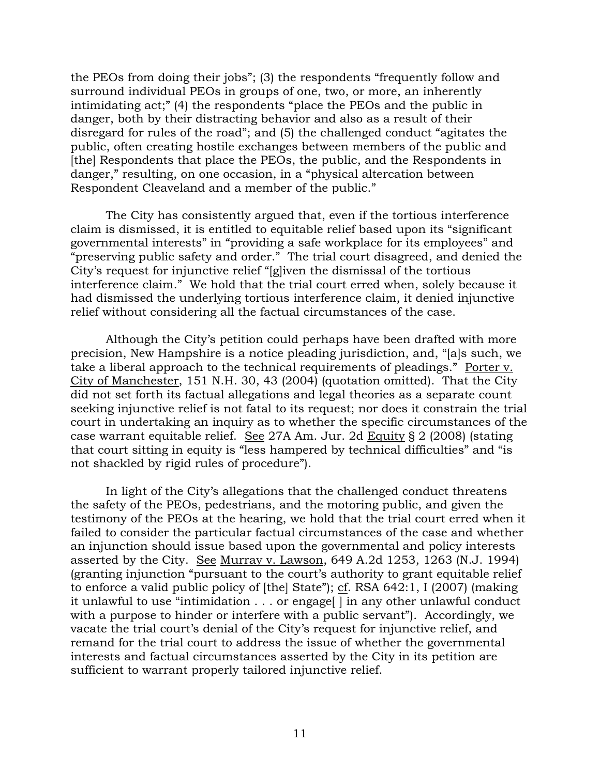the PEOs from doing their jobs"; (3) the respondents "frequently follow and surround individual PEOs in groups of one, two, or more, an inherently intimidating act;" (4) the respondents "place the PEOs and the public in danger, both by their distracting behavior and also as a result of their disregard for rules of the road"; and (5) the challenged conduct "agitates the public, often creating hostile exchanges between members of the public and [the] Respondents that place the PEOs, the public, and the Respondents in danger," resulting, on one occasion, in a "physical altercation between Respondent Cleaveland and a member of the public."

The City has consistently argued that, even if the tortious interference claim is dismissed, it is entitled to equitable relief based upon its "significant governmental interests" in "providing a safe workplace for its employees" and "preserving public safety and order." The trial court disagreed, and denied the City's request for injunctive relief "[g]iven the dismissal of the tortious interference claim." We hold that the trial court erred when, solely because it had dismissed the underlying tortious interference claim, it denied injunctive relief without considering all the factual circumstances of the case.

Although the City's petition could perhaps have been drafted with more precision, New Hampshire is a notice pleading jurisdiction, and, "[a]s such, we take a liberal approach to the technical requirements of pleadings." Porter v. City of Manchester, 151 N.H. 30, 43 (2004) (quotation omitted). That the City did not set forth its factual allegations and legal theories as a separate count seeking injunctive relief is not fatal to its request; nor does it constrain the trial court in undertaking an inquiry as to whether the specific circumstances of the case warrant equitable relief. See 27A Am. Jur. 2d Equity § 2 (2008) (stating that court sitting in equity is "less hampered by technical difficulties" and "is not shackled by rigid rules of procedure").

In light of the City's allegations that the challenged conduct threatens the safety of the PEOs, pedestrians, and the motoring public, and given the testimony of the PEOs at the hearing, we hold that the trial court erred when it failed to consider the particular factual circumstances of the case and whether an injunction should issue based upon the governmental and policy interests asserted by the City. See Murray v. Lawson, 649 A.2d 1253, 1263 (N.J. 1994) (granting injunction "pursuant to the court's authority to grant equitable relief to enforce a valid public policy of [the] State"); cf. RSA 642:1, I (2007) (making it unlawful to use "intimidation . . . or engage[ ] in any other unlawful conduct with a purpose to hinder or interfere with a public servant"). Accordingly, we vacate the trial court's denial of the City's request for injunctive relief, and remand for the trial court to address the issue of whether the governmental interests and factual circumstances asserted by the City in its petition are sufficient to warrant properly tailored injunctive relief.